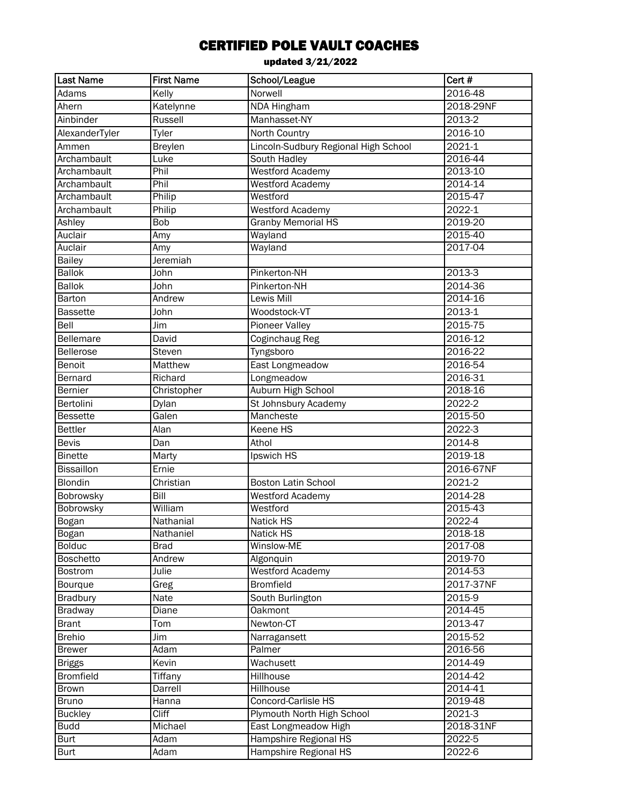| l Last Name       | <b>First Name</b> | School/League                        | Cert #      |
|-------------------|-------------------|--------------------------------------|-------------|
| Adams             | Kelly             | <b>Norwell</b>                       | 2016-48     |
| Ahern             | Katelynne         | NDA Hingham                          | 2018-29NF   |
| Ainbinder         | Russell           | Manhasset-NY                         | 2013-2      |
| AlexanderTyler    | Tyler             | North Country                        | 2016-10     |
| Ammen             | <b>Breylen</b>    | Lincoln-Sudbury Regional High School | 2021-1      |
| Archambault       | Luke              | South Hadley                         | 2016-44     |
| Archambault       | Phil              | Westford Academy                     | 2013-10     |
| Archambault       | Phil              | <b>Westford Academy</b>              | 2014-14     |
| Archambault       | Philip            | Westford                             | 2015-47     |
| Archambault       | Philip            | Westford Academy                     | 2022-1      |
| Ashley            | <b>Bob</b>        | <b>Granby Memorial HS</b>            | 2019-20     |
| Auclair           | Amy               | Wayland                              | 2015-40     |
| Auclair           | Amy               | Wayland                              | 2017-04     |
| <b>Bailey</b>     | Jeremiah          |                                      |             |
| <b>Ballok</b>     | John              | Pinkerton-NH                         | $2013 - 3$  |
| <b>Ballok</b>     | John              | Pinkerton-NH                         | 2014-36     |
| Barton            | Andrew            | <b>Lewis Mill</b>                    | 2014-16     |
| <b>Bassette</b>   | John              | Woodstock-VT                         | 2013-1      |
| Bell              | $\overline{J}$ im | <b>Pioneer Valley</b>                | 2015-75     |
| Bellemare         | David             | Coginchaug Reg                       | 2016-12     |
| <b>Bellerose</b>  | Steven            | Tyngsboro                            | 2016-22     |
| Benoit            | Matthew           | East Longmeadow                      | 2016-54     |
| Bernard           | Richard           | Longmeadow                           | 2016-31     |
| Bernier           | Christopher       | Auburn High School                   | 2018-16     |
| Bertolini         | Dylan             | St Johnsbury Academy                 | 2022-2      |
| <b>Bessette</b>   | Galen             | Mancheste                            | 2015-50     |
| <b>Bettler</b>    | Alan              | Keene HS                             | 2022-3      |
| <b>Bevis</b>      | Dan               | Athol                                | 2014-8      |
| <b>Binette</b>    | Marty             | Ipswich HS                           | 2019-18     |
| <b>Bissaillon</b> | Ernie             |                                      | 2016-67NF   |
| Blondin           | Christian         | <b>Boston Latin School</b>           | 2021-2      |
| Bobrowsky         | Bill              | <b>Westford Academy</b>              | $2014 - 28$ |
| Bobrowsky         | William           | Westford                             | 2015-43     |
| Bogan             | Nathanial         | <b>Natick HS</b>                     | 2022-4      |
| Bogan             | Nathaniel         | Natick HS                            | 2018-18     |
| <b>Bolduc</b>     | <b>Brad</b>       | Winslow-ME                           | 2017-08     |
| <b>Boschetto</b>  | Andrew            | Algonquin                            | 2019-70     |
| Bostrom           | Julie             | Westford Academy                     | 2014-53     |
| Bourque           | Greg              | <b>Bromfield</b>                     | 2017-37NF   |
| Bradbury          | Nate              | South Burlington                     | 2015-9      |
| <b>Bradway</b>    | <b>Diane</b>      | <b>Oakmont</b>                       | 2014-45     |
| <b>Brant</b>      | Tom               | Newton-CT                            | 2013-47     |
| <b>Brehio</b>     | Jim               | Narragansett                         | 2015-52     |
| <b>Brewer</b>     | Adam              | Palmer                               | 2016-56     |
| <b>Briggs</b>     | Kevin             | Wachusett                            | 2014-49     |
| <b>Bromfield</b>  | Tiffany           | Hillhouse                            | 2014-42     |
| <b>Brown</b>      | Darrell           | <b>Hillhouse</b>                     | 2014-41     |
| <b>Bruno</b>      | Hanna             | Concord-Carlisle HS                  | 2019-48     |
| <b>Buckley</b>    | <b>Cliff</b>      | Plymouth North High School           | 2021-3      |
| <b>Budd</b>       | Michael           | East Longmeadow High                 | 2018-31NF   |
| <b>Burt</b>       | Adam              | <b>Hampshire Regional HS</b>         | 2022-5      |
| <b>Burt</b>       | Adam              | Hampshire Regional HS                | 2022-6      |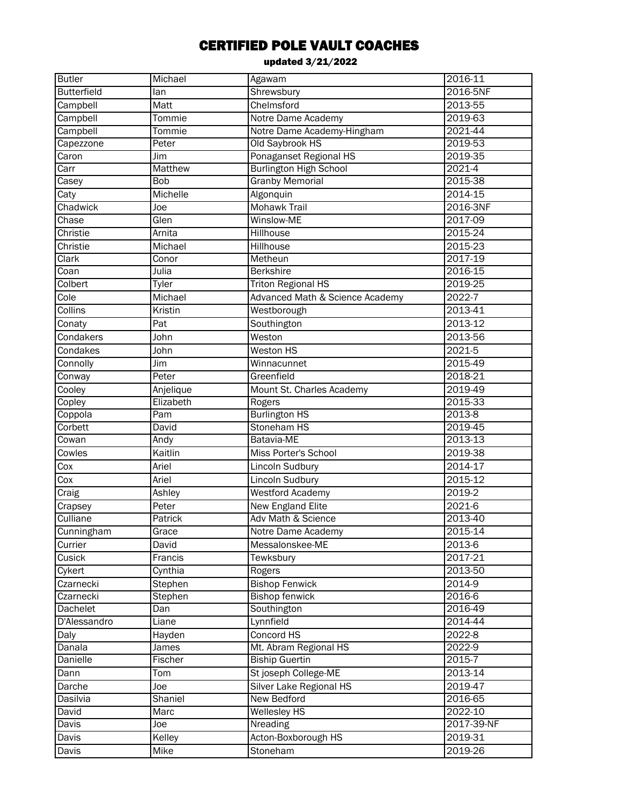| <b>Butler</b>      | Michael        | Agawam                          | $2016 - 11$ |
|--------------------|----------------|---------------------------------|-------------|
| <b>Butterfield</b> | lan            | Shrewsbury                      | 2016-5NF    |
| Campbell           | Matt           | Chelmsford                      | 2013-55     |
| Campbell           | Tommie         | Notre Dame Academy              | 2019-63     |
| Campbell           | Tommie         | Notre Dame Academy-Hingham      | 2021-44     |
| Capezzone          | Peter          | Old Saybrook HS                 | 2019-53     |
| Caron              | Jim            | Ponaganset Regional HS          | 2019-35     |
| Carr               | <b>Matthew</b> | <b>Burlington High School</b>   | $2021 - 4$  |
| Casey              | <b>Bob</b>     | <b>Granby Memorial</b>          | 2015-38     |
| Caty               | Michelle       | Algonquin                       | 2014-15     |
| Chadwick           | Joe            | <b>Mohawk Trail</b>             | 2016-3NF    |
| Chase              | Glen           | Winslow-ME                      | 2017-09     |
| Christie           | Arnita         | Hillhouse                       | 2015-24     |
| Christie           | Michael        | Hillhouse                       | 2015-23     |
| Clark              | Conor          | Metheun                         | 2017-19     |
| Coan               | Julia          | <b>Berkshire</b>                | 2016-15     |
| Colbert            | Tyler          | <b>Triton Regional HS</b>       | 2019-25     |
| Cole               | Michael        | Advanced Math & Science Academy | 2022-7      |
| Collins            | Kristin        | Westborough                     | 2013-41     |
| Conaty             | Pat            | Southington                     | 2013-12     |
| Condakers          | John           | Weston                          | 2013-56     |
| Condakes           | John           | Weston HS                       | 2021-5      |
| Connolly           | Jim            | Winnacunnet                     | 2015-49     |
| Conway             | Peter          | Greenfield                      | 2018-21     |
| Cooley             | Anjelique      | Mount St. Charles Academy       | 2019-49     |
| Copley             | Elizabeth      | Rogers                          | 2015-33     |
| Coppola            | Pam            | <b>Burlington HS</b>            | $2013-8$    |
| Corbett            | David          | Stoneham HS                     | 2019-45     |
| Cowan              | Andy           | Batavia-ME                      | 2013-13     |
| Cowles             | Kaitlin        | Miss Porter's School            | 2019-38     |
| $\overline{C}$ ox  | Ariel          | Lincoln Sudbury                 | 2014-17     |
| Cox                | Ariel          | Lincoln Sudbury                 | 2015-12     |
| Craig              | Ashley         | Westford Academy                | 2019-2      |
| Crapsey            | Peter          | New England Elite               | 2021-6      |
| Culliane           | Patrick        | Adv Math & Science              | 2013-40     |
| Cunningham         | Grace          | Notre Dame Academy              | 2015-14     |
| Currier            | David          | Messalonskee-ME                 | 2013-6      |
| Cusick             | Francis        | Tewksbury                       | 2017-21     |
| Cykert             | Cynthia        | Rogers                          | 2013-50     |
| Czarnecki          | Stephen        | <b>Bishop Fenwick</b>           | 2014-9      |
| Czarnecki          | Stephen        | <b>Bishop fenwick</b>           | 2016-6      |
| Dachelet           | Dan            | Southington                     | 2016-49     |
| D'Alessandro       | Liane          | Lynnfield                       | 2014-44     |
| Daly               | Hayden         | Concord HS                      | 2022-8      |
| Danala             | James          | Mt. Abram Regional HS           | 2022-9      |
| Danielle           | Fischer        | <b>Biship Guertin</b>           | 2015-7      |
| Dann               | Tom            | St joseph College-ME            | 2013-14     |
| Darche             | Joe            | Silver Lake Regional HS         | 2019-47     |
| Dasilvia           | Shaniel        | New Bedford                     | 2016-65     |
| David              | Marc           | <b>Wellesley HS</b>             | 2022-10     |
| Davis              | Joe            | Nreading                        | 2017-39-NF  |
| Davis              | Kelley         | Acton-Boxborough HS             | 2019-31     |
| Davis              | Mike           | Stoneham                        | 2019-26     |
|                    |                |                                 |             |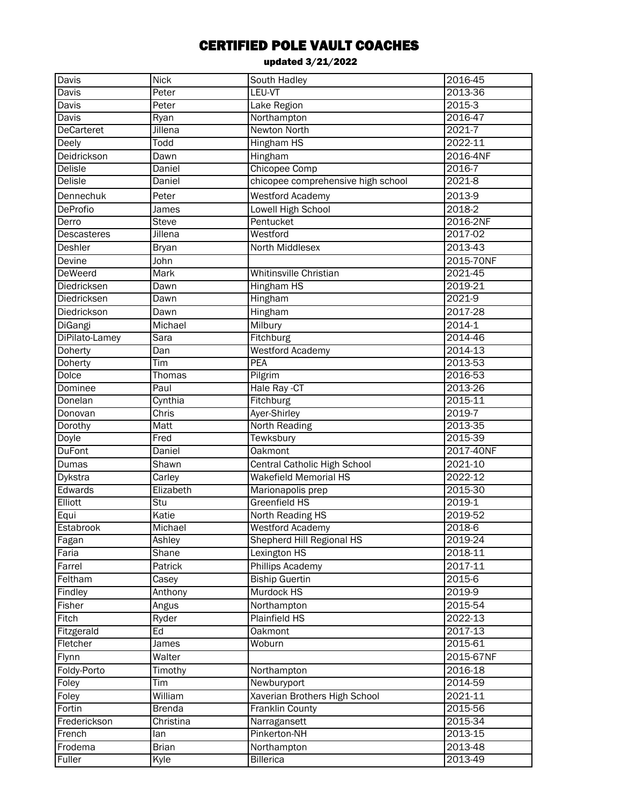| Davis             | <b>Nick</b>    | South Hadley                       | 2016-45    |
|-------------------|----------------|------------------------------------|------------|
| Davis             | Peter          | LEU-VT                             | 2013-36    |
| Davis             | Peter          | Lake Region                        | $2015-3$   |
| Davis             | Ryan           | Northampton                        | 2016-47    |
| <b>DeCarteret</b> | Jillena        | <b>Newton North</b>                | 2021-7     |
| Deely             | Todd           | <b>Hingham HS</b>                  | 2022-11    |
| Deidrickson       | Dawn           | Hingham                            | 2016-4NF   |
| <b>Delisle</b>    | Daniel         | Chicopee Comp                      | 2016-7     |
| <b>Delisle</b>    | Daniel         | chicopee comprehensive high school | $2021 - 8$ |
| Dennechuk         | Peter          | <b>Westford Academy</b>            | 2013-9     |
| DeProfio          | James          | Lowell High School                 | 2018-2     |
| Derro             | <b>Steve</b>   | Pentucket                          | 2016-2NF   |
| Descasteres       | <b>Jillena</b> | Westford                           | 2017-02    |
| Deshler           | <b>Bryan</b>   | North Middlesex                    | 2013-43    |
| Devine            | John           |                                    | 2015-70NF  |
| <b>DeWeerd</b>    | <b>Mark</b>    | Whitinsville Christian             | 2021-45    |
| Diedricksen       | Dawn           | <b>Hingham HS</b>                  | 2019-21    |
| Diedricksen       | Dawn           | Hingham                            | 2021-9     |
| Diedrickson       | Dawn           | Hingham                            | 2017-28    |
| DiGangi           | Michael        | Milbury                            | 2014-1     |
| DiPilato-Lamey    | Sara           | Fitchburg                          | 2014-46    |
| Doherty           | Dan            | Westford Academy                   | 2014-13    |
| Doherty           | Tim            | <b>PEA</b>                         | 2013-53    |
| Dolce             | Thomas         | Pilgrim                            | 2016-53    |
| Dominee           | Paul           | Hale Ray -CT                       | 2013-26    |
| Donelan           | Cynthia        | Fitchburg                          | 2015-11    |
| Donovan           | Chris          | Ayer-Shirley                       | 2019-7     |
| Dorothy           | Matt           | <b>North Reading</b>               | 2013-35    |
| Doyle             | Fred           | Tewksbury                          | 2015-39    |
| <b>DuFont</b>     | <b>Daniel</b>  | <b>Oakmont</b>                     | 2017-40NF  |
| Dumas             | Shawn          | Central Catholic High School       | 2021-10    |
| Dykstra           | Carley         | <b>Wakefield Memorial HS</b>       | 2022-12    |
| Edwards           | Elizabeth      | Marionapolis prep                  | 2015-30    |
| Elliott           | Stu            | Greenfield HS                      | 2019-1     |
| Equi              | Katie          | North Reading HS                   | 2019-52    |
| Estabrook         | Michael        | <b>Westford Academy</b>            | 2018-6     |
| Fagan             | Ashley         | Shepherd Hill Regional HS          | 2019-24    |
| Faria             | Shane          | Lexington HS                       | 2018-11    |
| Farrel            | Patrick        | Phillips Academy                   | 2017-11    |
| Feltham           | Casey          | <b>Biship Guertin</b>              | 2015-6     |
| Findley           | Anthony        | Murdock HS                         | 2019-9     |
| Fisher            | Angus          | Northampton                        | 2015-54    |
| Fitch             | Ryder          | Plainfield HS                      | 2022-13    |
| Fitzgerald        | Ed             | <b>Oakmont</b>                     | 2017-13    |
| Fletcher          | James          | Woburn                             | 2015-61    |
| Flynn             | Walter         |                                    | 2015-67NF  |
| Foldy-Porto       | Timothy        | Northampton                        | 2016-18    |
| Foley             | Tim            | Newburyport                        | 2014-59    |
| Foley             | William        | Xaverian Brothers High School      | 2021-11    |
| Fortin            | <b>Brenda</b>  | Franklin County                    | 2015-56    |
| Frederickson      | Christina      | Narragansett                       | 2015-34    |
| French            | lan            | Pinkerton-NH                       | 2013-15    |
| Frodema           | <b>Brian</b>   | Northampton                        | 2013-48    |
| Fuller            | Kyle           | <b>Billerica</b>                   | 2013-49    |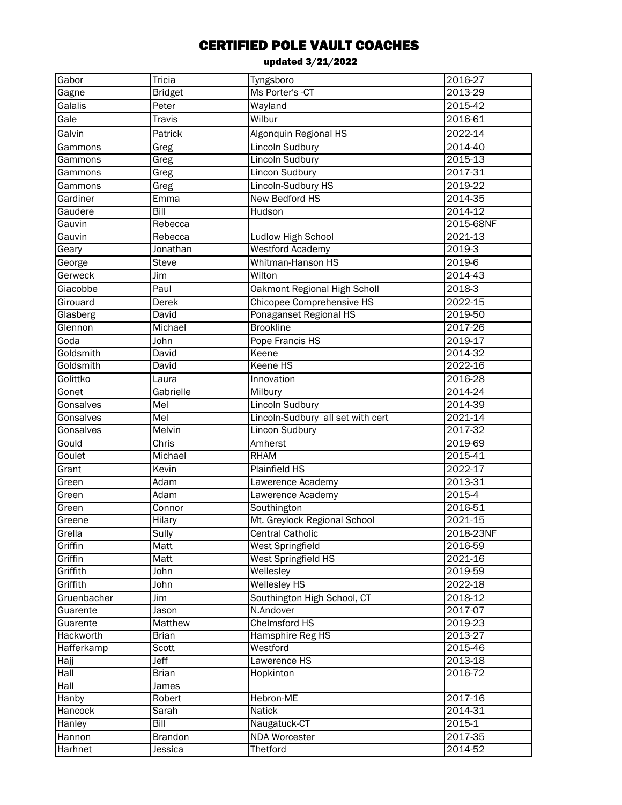| Gabor       | Tricia                    | Tyngsboro                         | 2016-27            |
|-------------|---------------------------|-----------------------------------|--------------------|
| Gagne       | <b>Bridget</b>            | Ms Porter's -CT                   | 2013-29            |
| Galalis     | Peter                     | Wayland                           | 2015-42            |
| Gale        | <b>Travis</b>             | Wilbur                            | 2016-61            |
| Galvin      | Patrick                   | Algonquin Regional HS             | 2022-14            |
| Gammons     | Greg                      | Lincoln Sudbury                   | 2014-40            |
| Gammons     | Greg                      | <b>Lincoln Sudbury</b>            | 2015-13            |
| Gammons     | Greg                      | <b>Lincon Sudbury</b>             | 2017-31            |
| Gammons     | Greg                      | Lincoln-Sudbury HS                | 2019-22            |
| Gardiner    | Emma                      | New Bedford HS                    | 2014-35            |
| Gaudere     | Bill                      | Hudson                            | 2014-12            |
| Gauvin      | Rebecca                   |                                   | 2015-68NF          |
| Gauvin      | Rebecca                   | <b>Ludlow High School</b>         | 2021-13            |
| Geary       | Jonathan                  | <b>Westford Academy</b>           | $2019-3$           |
| George      | <b>Steve</b>              | Whitman-Hanson HS                 | 2019-6             |
| Gerweck     | Jim                       | Wilton                            | 2014-43            |
| Giacobbe    | Paul                      | Oakmont Regional High Scholl      | 2018-3             |
| Girouard    | Derek                     | Chicopee Comprehensive HS         | 2022-15            |
| Glasberg    | David                     | Ponaganset Regional HS            | 2019-50            |
| Glennon     | Michael                   | <b>Brookline</b>                  | 2017-26            |
| Goda        |                           |                                   | 2019-17            |
|             | John                      | Pope Francis HS<br>Keene          |                    |
| Goldsmith   | David                     |                                   | 2014-32<br>2022-16 |
| Goldsmith   | David                     | <b>Keene HS</b>                   |                    |
| Golittko    | Laura                     | Innovation                        | 2016-28            |
| Gonet       | Gabrielle                 | Milbury                           | 2014-24            |
| Gonsalves   | Mel                       | Lincoln Sudbury                   | 2014-39            |
| Gonsalves   | $\overline{\mathsf{Mel}}$ | Lincoln-Sudbury all set with cert | 2021-14            |
| Gonsalves   | Melvin                    | <b>Lincon Sudbury</b>             | 2017-32            |
| Gould       | Chris                     | Amherst                           | 2019-69            |
| Goulet      | Michael                   | <b>RHAM</b>                       | 2015-41            |
| Grant       | Kevin                     | Plainfield HS                     | 2022-17            |
| Green       | Adam                      | Lawerence Academy                 | 2013-31            |
| Green       | Adam                      | Lawerence Academy                 | 2015-4             |
| Green       | Connor                    | Southington                       | 2016-51            |
| Greene      | Hilary                    | Mt. Greylock Regional School      | 2021-15            |
| Grella      | Sully                     | Central Catholic                  | 2018-23NF          |
| Griffin     | Matt                      | West Springfield                  | 2016-59            |
| Griffin     | Matt                      | <b>West Springfield HS</b>        | 2021-16            |
| Griffith    | John                      | Wellesley                         | 2019-59            |
| Griffith    | John                      | <b>Wellesley HS</b>               | 2022-18            |
| Gruenbacher | Jim                       | Southington High School, CT       | 2018-12            |
| Guarente    | Jason                     | N.Andover                         | 2017-07            |
| Guarente    | Matthew                   | <b>Chelmsford HS</b>              | 2019-23            |
| Hackworth   | <b>Brian</b>              | Hamsphire Reg HS                  | 2013-27            |
| Hafferkamp  | Scott                     | Westford                          | 2015-46            |
| Hajj        | Jeff                      | Lawerence HS                      | 2013-18            |
| Hall        | <b>Brian</b>              | Hopkinton                         | 2016-72            |
| Hall        | James                     |                                   |                    |
| Hanby       | Robert                    | Hebron-ME                         | 2017-16            |
| Hancock     | Sarah                     | <b>Natick</b>                     | 2014-31            |
| Hanley      | <b>Bill</b>               | Naugatuck-CT                      | $2015 - 1$         |
| Hannon      | <b>Brandon</b>            | NDA Worcester                     | 2017-35            |
| Harhnet     | Jessica                   | Thetford                          | 2014-52            |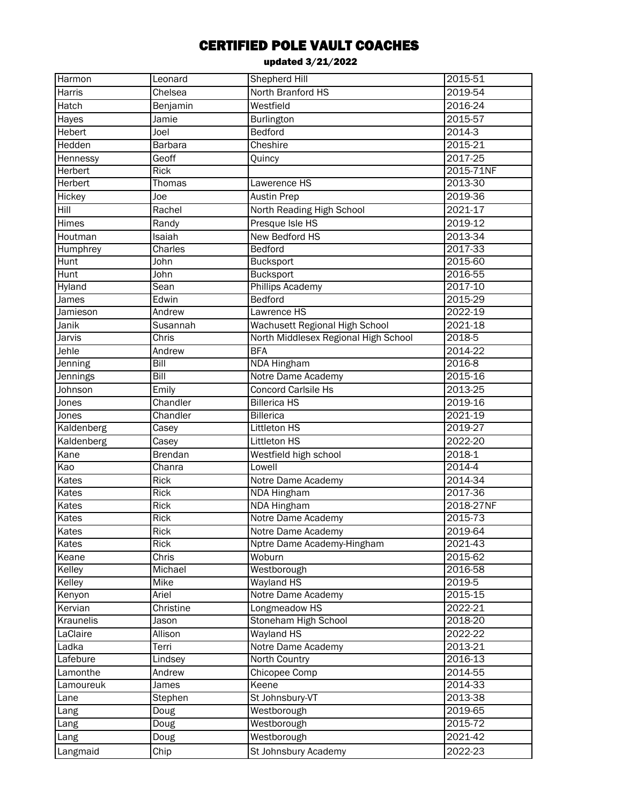| Harmon               | Leonard           | Shepherd Hill                        | $2015 - 51$        |
|----------------------|-------------------|--------------------------------------|--------------------|
| Harris               | Chelsea           | North Branford HS                    | 2019-54            |
| Hatch                | Benjamin          | Westfield                            | 2016-24            |
| Hayes                | Jamie             | Burlington                           | 2015-57            |
| Hebert               | Joel              | <b>Bedford</b>                       | 2014-3             |
| Hedden               | Barbara           | Cheshire                             | 2015-21            |
| Hennessy             | Geoff             | Quincy                               | 2017-25            |
| Herbert              | <b>Rick</b>       |                                      | 2015-71NF          |
| Herbert              | Thomas            | Lawerence HS                         | 2013-30            |
| Hickey               | Joe               | <b>Austin Prep</b>                   | 2019-36            |
| Hill                 | Rachel            | North Reading High School            | 2021-17            |
| Himes                | Randy             | Presque Isle HS                      | 2019-12            |
| Houtman              | Isaiah            | New Bedford HS                       | 2013-34            |
| Humphrey             | Charles           | Bedford                              | 2017-33            |
| Hunt                 | John              | <b>Bucksport</b>                     | 2015-60            |
| Hunt                 | John              | <b>Bucksport</b>                     | 2016-55            |
| Hyland               | <b>Sean</b>       | <b>Phillips Academy</b>              | 2017-10            |
| James                | Edwin             | Bedford                              | 2015-29            |
| Jamieson             | Andrew            | Lawrence HS                          | 2022-19            |
| Janik                | Susannah          | Wachusett Regional High School       | 2021-18            |
| Jarvis               | Chris             | North Middlesex Regional High School | 2018-5             |
| Jehle                | Andrew            | <b>BFA</b>                           | 2014-22            |
| Jenning              | Bill              | <b>NDA Hingham</b>                   | 2016-8             |
| Jennings             | <b>Bill</b>       | Notre Dame Academy                   | 2015-16            |
| Johnson              | Emily             | <b>Concord Carlsile Hs</b>           | 2013-25            |
| Jones                | Chandler          | <b>Billerica HS</b>                  | 2019-16            |
| Jones                | Chandler          | Billerica                            | 2021-19            |
| Kaldenberg           | Casey             | Littleton HS                         | 2019-27            |
| Kaldenberg           | Casey             | Littleton HS                         | 2022-20            |
| Kane                 | <b>Brendan</b>    | Westfield high school                | 2018-1             |
| Kao                  | Chanra            | Lowell                               | $2014 - 4$         |
| Kates                | Rick              | Notre Dame Academy                   | 2014-34            |
| Kates                | <b>Rick</b>       | <b>NDA Hingham</b>                   | 2017-36            |
| Kates                | <b>Rick</b>       | <b>NDA Hingham</b>                   | 2018-27NF          |
| Kates                | Rick              | Notre Dame Academy                   | 2015-73            |
| Kates                | <b>Rick</b>       | Notre Dame Academy                   | 2019-64            |
| Kates                | Rick              | Nptre Dame Academy-Hingham           | 2021-43            |
| Keane                | Chris             | Woburn                               | 2015-62            |
| Kelley               | Michael           | Westborough                          | 2016-58            |
| Kelley               | Mike              | <b>Wayland HS</b>                    | 2019-5             |
| Kenyon               | Ariel             | Notre Dame Academy                   | 2015-15            |
| Kervian              | Christine         | Longmeadow HS                        | 2022-21            |
| Kraunelis            | Jason             | Stoneham High School                 | 2018-20            |
|                      | Allison           | Wayland HS                           | 2022-22            |
| LaClaire<br>Ladka    | Terri             | Notre Dame Academy                   | 2013-21            |
|                      |                   |                                      | 2016-13            |
| Lafebure<br>Lamonthe | Lindsey<br>Andrew | North Country<br>Chicopee Comp       | 2014-55            |
|                      |                   |                                      |                    |
| Lamoureuk            | James             | Keene<br>St Johnsbury-VT             | 2014-33<br>2013-38 |
| Lane                 | Stephen           |                                      |                    |
| Lang                 | Doug              | Westborough                          | 2019-65            |
| Lang                 | Doug              | Westborough                          | 2015-72            |
| Lang                 | Doug              | Westborough                          | 2021-42            |
| Langmaid             | Chip              | St Johnsbury Academy                 | 2022-23            |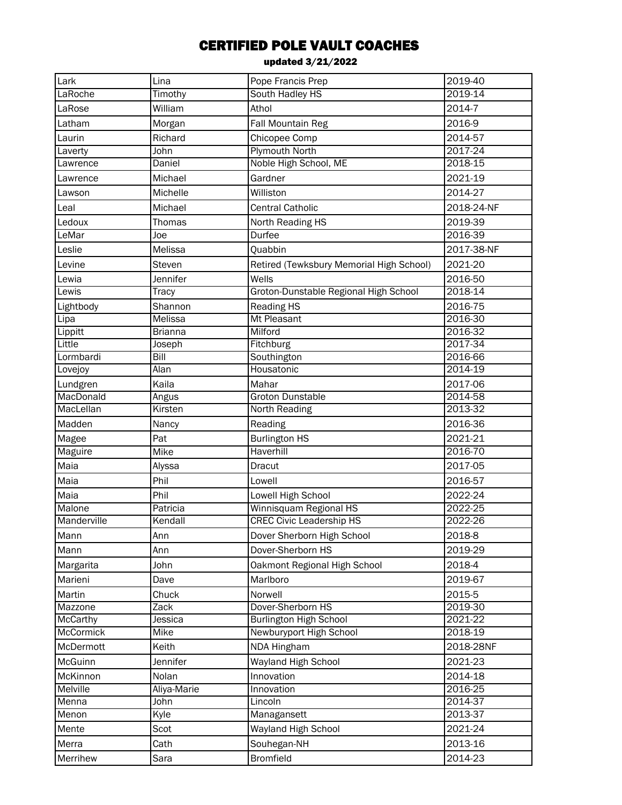| Lark        | Lina           | Pope Francis Prep                        | 2019-40    |
|-------------|----------------|------------------------------------------|------------|
| LaRoche     | Timothy        | South Hadley HS                          | 2019-14    |
| LaRose      | William        | Athol                                    | 2014-7     |
| Latham      | Morgan         | Fall Mountain Reg                        | 2016-9     |
| Laurin      | Richard        | Chicopee Comp                            | 2014-57    |
| Laverty     | John           | <b>Plymouth North</b>                    | 2017-24    |
| Lawrence    | Daniel         | Noble High School, ME                    | 2018-15    |
| Lawrence    | Michael        | Gardner                                  | 2021-19    |
| Lawson      | Michelle       | Williston                                | 2014-27    |
| Leal        | Michael        | <b>Central Catholic</b>                  | 2018-24-NF |
| Ledoux      | <b>Thomas</b>  | North Reading HS                         | 2019-39    |
| LeMar       | Joe            | <b>Durfee</b>                            | 2016-39    |
| Leslie      | Melissa        | Quabbin                                  | 2017-38-NF |
| Levine      | Steven         | Retired (Tewksbury Memorial High School) | 2021-20    |
| Lewia       | Jennifer       | Wells                                    | 2016-50    |
| Lewis       | <b>Tracy</b>   | Groton-Dunstable Regional High School    | 2018-14    |
| Lightbody   | Shannon        | <b>Reading HS</b>                        | 2016-75    |
| Lipa        | Melissa        | Mt Pleasant                              | 2016-30    |
| Lippitt     | <b>Brianna</b> | Milford                                  | 2016-32    |
| Little      | Joseph         | Fitchburg                                | 2017-34    |
| Lormbardi   | Bill           | Southington                              | 2016-66    |
| Lovejoy     | Alan           | Housatonic                               | 2014-19    |
| Lundgren    | Kaila          | Mahar                                    | 2017-06    |
| MacDonald   | Angus          | <b>Groton Dunstable</b>                  | 2014-58    |
| MacLellan   | Kirsten        | North Reading                            | 2013-32    |
| Madden      | Nancy          | Reading                                  | 2016-36    |
| Magee       | Pat            | <b>Burlington HS</b>                     | 2021-21    |
| Maguire     | Mike           | Haverhill                                | 2016-70    |
| Maia        | Alyssa         | Dracut                                   | 2017-05    |
| Maia        | Phil           | Lowell                                   | 2016-57    |
| Maia        | Phil           | Lowell High School                       | 2022-24    |
| Malone      | Patricia       | Winnisquam Regional HS                   | 2022-25    |
| Manderville | Kendall        | <b>CREC Civic Leadership HS</b>          | 2022-26    |
| Mann        | Ann            | Dover Sherborn High School               | 2018-8     |
| Mann        | Ann            | Dover-Sherborn HS                        | 2019-29    |
| Margarita   | John           | Oakmont Regional High School             | 2018-4     |
| Marieni     | Dave           | Marlboro                                 | 2019-67    |
| Martin      | Chuck          | Norwell                                  | 2015-5     |
| Mazzone     | Zack           | Dover-Sherborn HS                        | 2019-30    |
| McCarthy    | Jessica        | <b>Burlington High School</b>            | 2021-22    |
| McCormick   | Mike           | Newburyport High School                  | 2018-19    |
| McDermott   | Keith          | NDA Hingham                              | 2018-28NF  |
| McGuinn     | Jennifer       | Wayland High School                      | 2021-23    |
| McKinnon    | Nolan          | Innovation                               | 2014-18    |
| Melville    | Aliya-Marie    | Innovation                               | 2016-25    |
| Menna       | John           | Lincoln                                  | 2014-37    |
| Menon       | Kyle           | Managansett                              | 2013-37    |
| Mente       | Scot           | Wayland High School                      | 2021-24    |
| Merra       | Cath           | Souhegan-NH                              | 2013-16    |
| Merrihew    | Sara           | <b>Bromfield</b>                         | 2014-23    |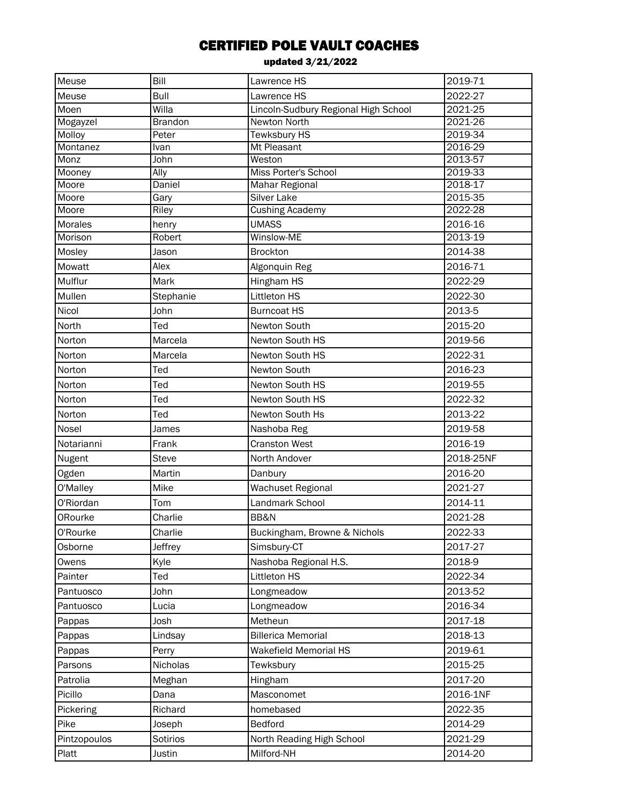| Meuse                     | Bill           | Lawrence HS                          | 2019-71            |
|---------------------------|----------------|--------------------------------------|--------------------|
| Meuse                     | Bull           | Lawrence HS                          | 2022-27            |
| Moen                      | Willa          | Lincoln-Sudbury Regional High School | 2021-25            |
| Mogayzel                  | <b>Brandon</b> | <b>Newton North</b>                  | 2021-26            |
| Molloy                    | Peter          | <b>Tewksbury HS</b>                  | 2019-34            |
| Montanez                  | Ivan           | Mt Pleasant                          | 2016-29            |
| Monz                      | John           | Weston                               | 2013-57            |
| Mooney                    | Ally           | Miss Porter's School                 | 2019-33            |
| Moore                     | Daniel         | Mahar Regional                       | 2018-17            |
| Moore<br>Moore            | Gary           | Silver Lake                          | 2015-35<br>2022-28 |
|                           | Riley          | <b>Cushing Academy</b>               |                    |
| <b>Morales</b><br>Morison | henry          | <b>UMASS</b><br><b>Winslow-ME</b>    | 2016-16<br>2013-19 |
|                           | Robert         |                                      |                    |
| Mosley                    | Jason          | <b>Brockton</b>                      | 2014-38            |
| Mowatt                    | Alex           | Algonquin Reg                        | 2016-71            |
| Mulflur                   | Mark           | Hingham HS                           | 2022-29            |
| Mullen                    | Stephanie      | Littleton HS                         | 2022-30            |
| Nicol                     | John           | <b>Burncoat HS</b>                   | 2013-5             |
| North                     | Ted            | Newton South                         | 2015-20            |
| Norton                    | Marcela        | Newton South HS                      | 2019-56            |
| Norton                    | Marcela        | Newton South HS                      | 2022-31            |
| Norton                    | Ted            | Newton South                         | 2016-23            |
| Norton                    | Ted            | Newton South HS                      | 2019-55            |
| Norton                    | Ted            | Newton South HS                      | 2022-32            |
| Norton                    | Ted            | Newton South Hs                      | 2013-22            |
| Nosel                     | James          | Nashoba Reg                          | 2019-58            |
| Notarianni                | Frank          | <b>Cranston West</b>                 | 2016-19            |
| Nugent                    | Steve          | North Andover                        | 2018-25NF          |
| Ogden                     | Martin         | Danbury                              | 2016-20            |
| O'Malley                  | Mike           | Wachuset Regional                    | 2021-27            |
| O'Riordan                 | Tom            | Landmark School                      | 2014-11            |
| ORourke                   | Charlie        | BB&N                                 | 2021-28            |
| O'Rourke                  | Charlie        | Buckingham, Browne & Nichols         | 2022-33            |
| Osborne                   | Jeffrey        | Simsbury-CT                          | 2017-27            |
| Owens                     | Kyle           | Nashoba Regional H.S.                | 2018-9             |
| Painter                   | Ted            | Littleton HS                         | 2022-34            |
| Pantuosco                 | John           | Longmeadow                           | 2013-52            |
| Pantuosco                 | Lucia          | Longmeadow                           | 2016-34            |
| Pappas                    | Josh           | Metheun                              | 2017-18            |
| Pappas                    | Lindsay        | <b>Billerica Memorial</b>            | 2018-13            |
| Pappas                    | Perry          | <b>Wakefield Memorial HS</b>         | 2019-61            |
| Parsons                   | Nicholas       | Tewksbury                            | 2015-25            |
| Patrolia                  | Meghan         | Hingham                              | 2017-20            |
| Picillo                   | Dana           | Masconomet                           | 2016-1NF           |
| Pickering                 | Richard        | homebased                            | 2022-35            |
| Pike                      | Joseph         | Bedford                              | 2014-29            |
|                           |                |                                      |                    |
| Pintzopoulos              | Sotirios       | North Reading High School            | 2021-29            |
| Platt                     | Justin         | Milford-NH                           | 2014-20            |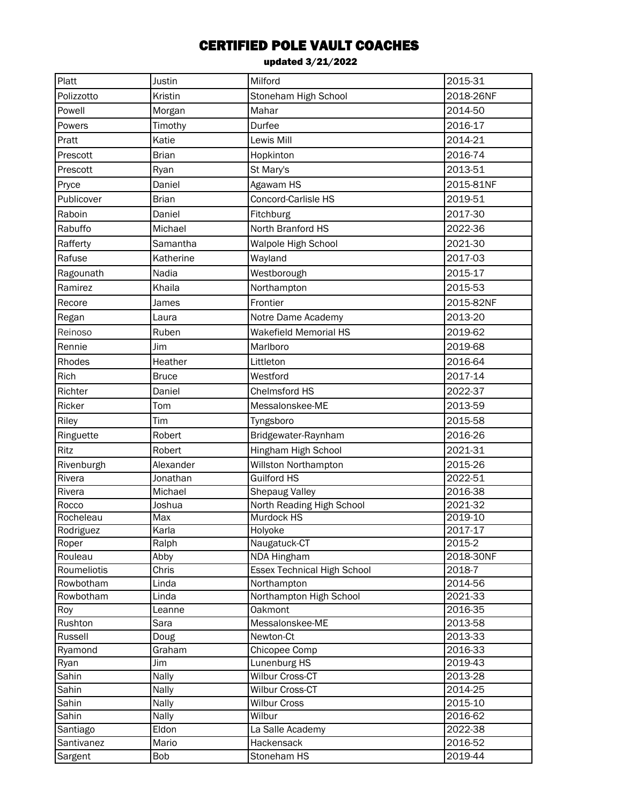| Platt              | Justin         | Milford                                 | 2015-31            |
|--------------------|----------------|-----------------------------------------|--------------------|
| Polizzotto         | Kristin        | Stoneham High School                    | 2018-26NF          |
| Powell             | Morgan         | Mahar                                   | 2014-50            |
| Powers             | Timothy        | Durfee                                  | 2016-17            |
| Pratt              | Katie          | Lewis Mill                              | 2014-21            |
| Prescott           | <b>Brian</b>   | Hopkinton                               | 2016-74            |
| Prescott           | Ryan           | St Mary's                               | 2013-51            |
| Pryce              | Daniel         | Agawam HS                               | 2015-81NF          |
| Publicover         | <b>Brian</b>   | Concord-Carlisle HS                     | 2019-51            |
| Raboin             | Daniel         | Fitchburg                               | 2017-30            |
| Rabuffo            | Michael        | North Branford HS                       | 2022-36            |
| Rafferty           | Samantha       | Walpole High School                     | 2021-30            |
| Rafuse             | Katherine      | Wayland                                 | 2017-03            |
| Ragounath          | Nadia          | Westborough                             | 2015-17            |
| Ramirez            | Khaila         | Northampton                             | 2015-53            |
| Recore             | James          | Frontier                                | 2015-82NF          |
| Regan              | Laura          | Notre Dame Academy                      | 2013-20            |
| Reinoso            | Ruben          | Wakefield Memorial HS                   | 2019-62            |
| Rennie             | Jim            | Marlboro                                | 2019-68            |
| Rhodes             | Heather        | Littleton                               | 2016-64            |
|                    |                |                                         |                    |
| Rich               | <b>Bruce</b>   | Westford                                | 2017-14            |
| Richter            | Daniel         | <b>Chelmsford HS</b>                    | 2022-37            |
| Ricker             | Tom            | Messalonskee-ME                         | 2013-59            |
| Riley              | Tim            | Tyngsboro                               | 2015-58            |
| Ringuette          | Robert         | Bridgewater-Raynham                     | 2016-26            |
| Ritz               | Robert         | Hingham High School                     | 2021-31            |
| Rivenburgh         | Alexander      | Willston Northampton                    | 2015-26            |
| Rivera             | Jonathan       | <b>Guilford HS</b>                      | 2022-51            |
| Rivera             | Michael        | <b>Shepaug Valley</b>                   | 2016-38            |
| Rocco<br>Rocheleau | Joshua<br>Max  | North Reading High School<br>Murdock HS | 2021-32<br>2019-10 |
| Rodriguez          | Karla          | Holyoke                                 | 2017-17            |
| Roper              | Ralph          | Naugatuck-CT                            | 2015-2             |
| Rouleau            | Abby           | <b>NDA Hingham</b>                      | 2018-30NF          |
| Roumeliotis        | Chris          | <b>Essex Technical High School</b>      | 2018-7             |
| Rowbotham          | Linda          | Northampton                             | 2014-56            |
| Rowbotham          | Linda          | Northampton High School                 | 2021-33            |
| Roy                | Leanne         | <b>Oakmont</b>                          | 2016-35            |
| Rushton            | Sara           | Messalonskee-ME                         | 2013-58            |
| Russell            | Doug           | Newton-Ct                               | 2013-33            |
| Ryamond            | Graham         | Chicopee Comp                           | 2016-33            |
| Ryan               | Jim            | <b>Lunenburg HS</b>                     | 2019-43            |
| Sahin              | Nally          | Wilbur Cross-CT                         | 2013-28            |
| Sahin<br>Sahin     | Nally<br>Nally | Wilbur Cross-CT<br><b>Wilbur Cross</b>  | 2014-25<br>2015-10 |
| Sahin              | Nally          | Wilbur                                  | 2016-62            |
| Santiago           | Eldon          | La Salle Academy                        | 2022-38            |
| Santivanez         | Mario          | Hackensack                              | 2016-52            |
| Sargent            | Bob            | Stoneham HS                             | 2019-44            |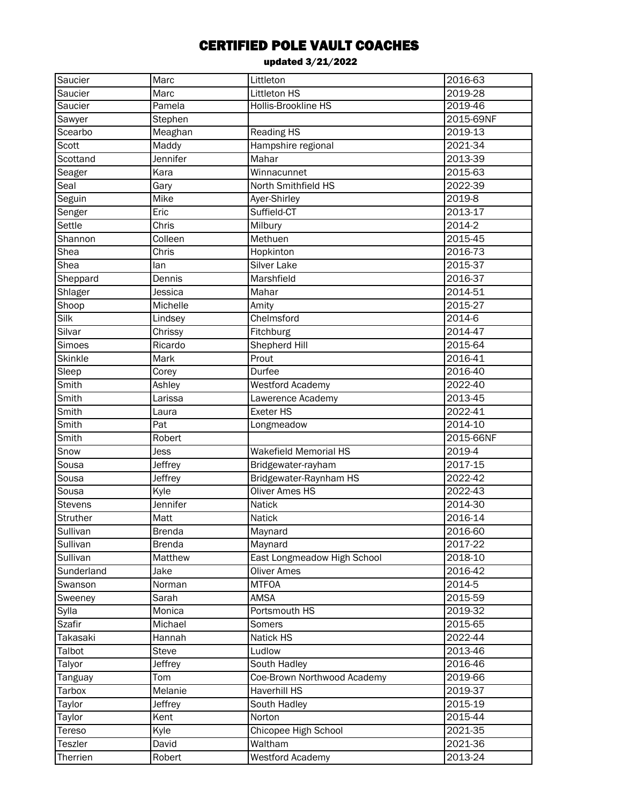| Saucier              | Marc          | Littleton                    | 2016-63    |
|----------------------|---------------|------------------------------|------------|
| Saucier              | Marc          | Littleton HS                 | 2019-28    |
| Saucier              | Pamela        | <b>Hollis-Brookline HS</b>   | 2019-46    |
| Sawyer               | Stephen       |                              | 2015-69NF  |
| Scearbo              | Meaghan       | <b>Reading HS</b>            | 2019-13    |
| Scott                | Maddy         | Hampshire regional           | 2021-34    |
| Scottand             | Jennifer      | Mahar                        | 2013-39    |
| Seager               | Kara          | Winnacunnet                  | 2015-63    |
| Seal                 | Gary          | North Smithfield HS          | 2022-39    |
| Seguin               | Mike          | Ayer-Shirley                 | 2019-8     |
| Senger               | Eric          | Suffield-CT                  | 2013-17    |
| Settle               | Chris         | Milbury                      | $2014 - 2$ |
| Shannon              | Colleen       | Methuen                      | 2015-45    |
| Shea                 | Chris         | Hopkinton                    | 2016-73    |
| Shea                 | lan           | Silver Lake                  | 2015-37    |
| Sheppard             | Dennis        | Marshfield                   | 2016-37    |
| Shlager              | Jessica       | Mahar                        | 2014-51    |
| Shoop                | Michelle      | Amity                        | 2015-27    |
| Silk                 | Lindsey       | Chelmsford                   | 2014-6     |
| Silvar               | Chrissy       | Fitchburg                    | 2014-47    |
| Simoes               | Ricardo       | Shepherd Hill                | 2015-64    |
| Skinkle              | Mark          | Prout                        | 2016-41    |
| Sleep                | Corey         | Durfee                       | 2016-40    |
| Smith                | Ashley        | <b>Westford Academy</b>      | 2022-40    |
| Smith                | Larissa       | Lawerence Academy            | 2013-45    |
| Smith                | Laura         | <b>Exeter HS</b>             | 2022-41    |
| Smith                | Pat           | Longmeadow                   | 2014-10    |
| Smith                | Robert        |                              | 2015-66NF  |
|                      |               |                              |            |
| Snow                 | Jess          | <b>Wakefield Memorial HS</b> | 2019-4     |
| Sousa                | Jeffrey       | Bridgewater-rayham           | 2017-15    |
| Sousa                | Jeffrey       | Bridgewater-Raynham HS       | 2022-42    |
| Sousa                | Kyle          | Oliver Ames HS               | 2022-43    |
| Stevens              | Jennifer      | Natick                       | 2014-30    |
|                      | Matt          | Natick                       | 2016-14    |
| Struther<br>Sullivan | <b>Brenda</b> |                              | 2016-60    |
| Sullivan             | <b>Brenda</b> | Maynard<br>Maynard           | 2017-22    |
| Sullivan             | Matthew       | East Longmeadow High School  | 2018-10    |
| Sunderland           | Jake          | <b>Oliver Ames</b>           | 2016-42    |
| Swanson              | Norman        | <b>MTFOA</b>                 | 2014-5     |
| Sweeney              | Sarah         | <b>AMSA</b>                  | 2015-59    |
| Sylla                | Monica        | Portsmouth HS                | 2019-32    |
| <b>Szafir</b>        | Michael       | Somers                       | 2015-65    |
| Takasaki             | Hannah        | Natick HS                    | 2022-44    |
| Talbot               | Steve         | Ludlow                       | 2013-46    |
| Talyor               | Jeffrey       | South Hadley                 | 2016-46    |
| Tanguay              | Tom           | Coe-Brown Northwood Academy  | 2019-66    |
| Tarbox               | Melanie       | Haverhill HS                 | 2019-37    |
| Taylor               | Jeffrey       | South Hadley                 | 2015-19    |
| Taylor               | Kent          | Norton                       | 2015-44    |
| Tereso               | Kyle          | Chicopee High School         | 2021-35    |
| Teszler              | David         | Waltham                      | 2021-36    |